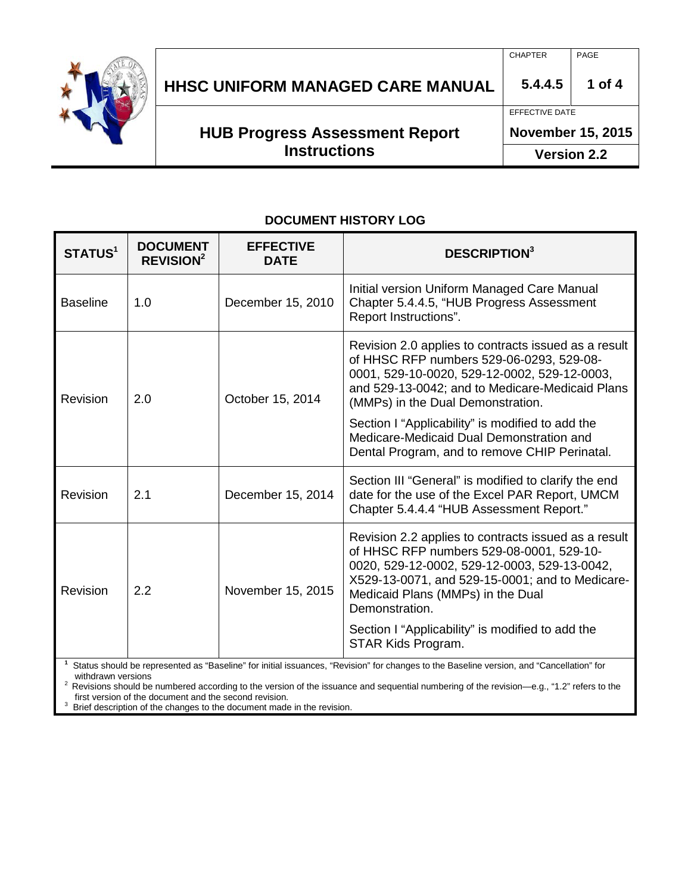

## **HHSC UNIFORM MANAGED CARE MANUAL 5.4.4.5 1 of 4**

**HUB Progress Assessment Report Instructions**

# CHAPTER PAGE

#### EFFECTIVE DATE

#### **November 15, 2015**

**Version 2.2**

#### **DOCUMENT HISTORY LOG**

| STATUS <sup>1</sup> | <b>DOCUMENT</b><br>REVISION <sup>2</sup> | <b>EFFECTIVE</b><br><b>DATE</b>           | <b>DESCRIPTION3</b>                                                                                                                                                                                                                                        |
|---------------------|------------------------------------------|-------------------------------------------|------------------------------------------------------------------------------------------------------------------------------------------------------------------------------------------------------------------------------------------------------------|
| <b>Baseline</b>     | 1.0                                      | December 15, 2010                         | Initial version Uniform Managed Care Manual<br>Chapter 5.4.4.5, "HUB Progress Assessment<br>Report Instructions".                                                                                                                                          |
| Revision            | 2.0                                      | October 15, 2014                          | Revision 2.0 applies to contracts issued as a result<br>of HHSC RFP numbers 529-06-0293, 529-08-<br>0001, 529-10-0020, 529-12-0002, 529-12-0003,<br>and 529-13-0042; and to Medicare-Medicaid Plans<br>(MMPs) in the Dual Demonstration.                   |
|                     |                                          |                                           | Section I "Applicability" is modified to add the<br>Medicare-Medicaid Dual Demonstration and<br>Dental Program, and to remove CHIP Perinatal.                                                                                                              |
| Revision            | 2.1                                      | December 15, 2014                         | Section III "General" is modified to clarify the end<br>date for the use of the Excel PAR Report, UMCM<br>Chapter 5.4.4.4 "HUB Assessment Report."                                                                                                         |
| Revision            | 2.2                                      | November 15, 2015                         | Revision 2.2 applies to contracts issued as a result<br>of HHSC RFP numbers 529-08-0001, 529-10-<br>0020, 529-12-0002, 529-12-0003, 529-13-0042,<br>X529-13-0071, and 529-15-0001; and to Medicare-<br>Medicaid Plans (MMPs) in the Dual<br>Demonstration. |
|                     | $1 \nO(1)$                               | a a Bit Bara Bara William San Saint Links | Section I "Applicability" is modified to add the<br>STAR Kids Program.<br>"Deviated" for elements to the Depaling constant and "Qenealletian" for                                                                                                          |

**1** Status should be represented as "Baseline" for initial issuances, "Revision" for changes to the Baseline version, and "Cancellation" for

<sup>2</sup> Revisions should be numbered according to the version of the issuance and sequential numbering of the revision—e.g., "1.2" refers to the first version of the document and the second revision.

Brief description of the changes to the document made in the revision.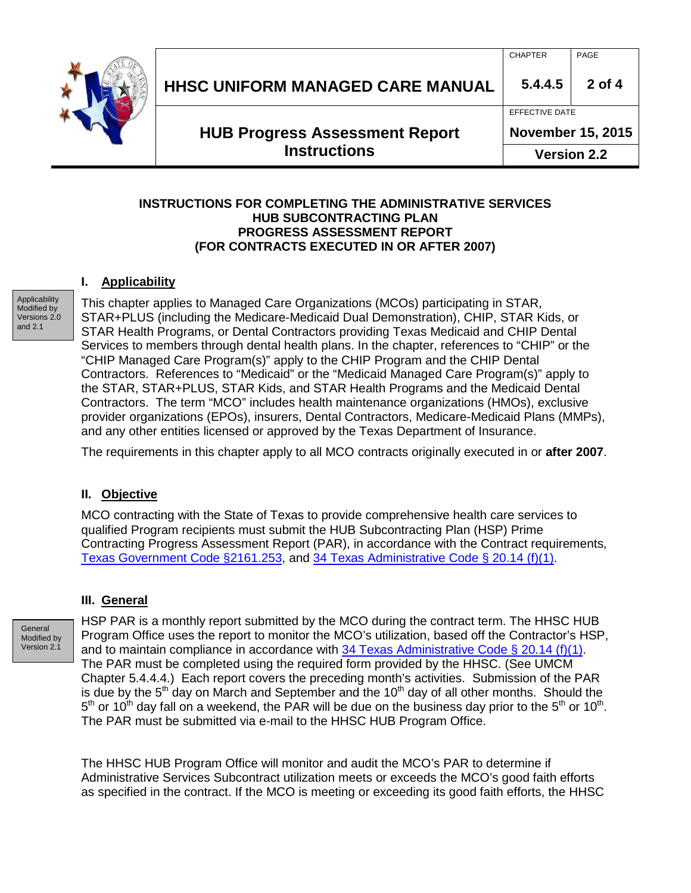

### CHAPTER PAGE

EFFECTIVE DATE

**HUB Progress Assessment Report Instructions**

**November 15, 2015**

**Version 2.2**

#### **INSTRUCTIONS FOR COMPLETING THE ADMINISTRATIVE SERVICES HUB SUBCONTRACTING PLAN PROGRESS ASSESSMENT REPORT (FOR CONTRACTS EXECUTED IN OR AFTER 2007)**

#### **I. Applicability**

**Applicability** Modified by Versions 2.0 and 2.1

This chapter applies to Managed Care Organizations (MCOs) participating in STAR, STAR+PLUS (including the Medicare-Medicaid Dual Demonstration), CHIP, STAR Kids, or STAR Health Programs, or Dental Contractors providing Texas Medicaid and CHIP Dental Services to members through dental health plans. In the chapter, references to "CHIP" or the "CHIP Managed Care Program(s)" apply to the CHIP Program and the CHIP Dental Contractors. References to "Medicaid" or the "Medicaid Managed Care Program(s)" apply to the STAR, STAR+PLUS, STAR Kids, and STAR Health Programs and the Medicaid Dental Contractors. The term "MCO" includes health maintenance organizations (HMOs), exclusive provider organizations (EPOs), insurers, Dental Contractors, Medicare-Medicaid Plans (MMPs), and any other entities licensed or approved by the Texas Department of Insurance.

The requirements in this chapter apply to all MCO contracts originally executed in or **after 2007**.

#### **II. Objective**

MCO contracting with the State of Texas to provide comprehensive health care services to qualified Program recipients must submit the HUB Subcontracting Plan (HSP) Prime Contracting Progress Assessment Report (PAR), in accordance with the Contract requirements, [Texas Government Code §2161.253,](http://www.statutes.legis.state.tx.us/Docs/GV/htm/GV.2161.htm#2161.253) and [34 Texas Administrative Code §](http://info.sos.state.tx.us/pls/pub/readtac$ext.TacPage?sl=R&app=9&p_dir=&p_rloc=&p_tloc=&p_ploc=&pg=1&p_tac=&ti=34&pt=1&ch=20&rl=14) 20.14 (f)(1).

#### **III. General**

**General** Modified by Version 2.1

HSP PAR is a monthly report submitted by the MCO during the contract term. The HHSC HUB Program Office uses the report to monitor the MCO's utilization, based off the Contractor's HSP, and to maintain compliance in accordance with  $34$  Texas Administrative Code § 20.14 (f)(1). The PAR must be completed using the required form provided by the HHSC. (See UMCM Chapter 5.4.4.4.) Each report covers the preceding month's activities. Submission of the PAR is due by the  $5<sup>th</sup>$  day on March and September and the 10<sup>th</sup> day of all other months. Should the  $5<sup>th</sup>$  or 10<sup>th</sup> day fall on a weekend, the PAR will be due on the business day prior to the  $5<sup>th</sup>$  or 10<sup>th</sup>. The PAR must be submitted via e-mail to the HHSC HUB Program Office.

The HHSC HUB Program Office will monitor and audit the MCO's PAR to determine if Administrative Services Subcontract utilization meets or exceeds the MCO's good faith efforts as specified in the contract. If the MCO is meeting or exceeding its good faith efforts, the HHSC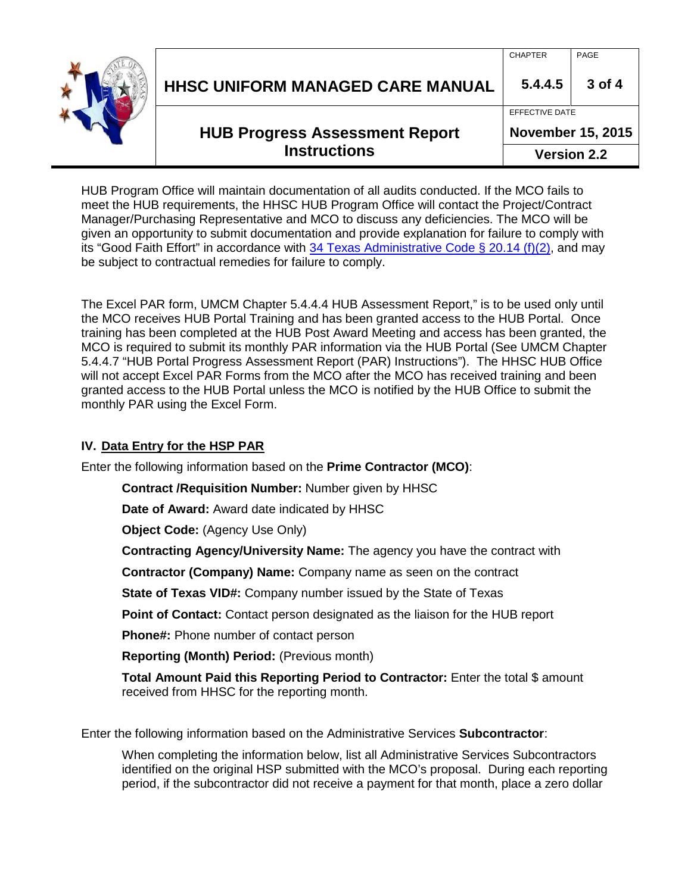

| <b>HUB Progress Assessment Report</b>   | EFFECTIVE DATE<br><b>November 15, 2015</b> |                |
|-----------------------------------------|--------------------------------------------|----------------|
|                                         |                                            |                |
| <b>HHSC UNIFORM MANAGED CARE MANUAL</b> | <b>CHAPTER</b><br>5.4.4.5                  | PAGE<br>3 of 4 |

HUB Program Office will maintain documentation of all audits conducted. If the MCO fails to meet the HUB requirements, the HHSC HUB Program Office will contact the Project/Contract Manager/Purchasing Representative and MCO to discuss any deficiencies. The MCO will be given an opportunity to submit documentation and provide explanation for failure to comply with its "Good Faith Effort" in accordance with [34 Texas Administrative Code §](http://info.sos.state.tx.us/pls/pub/readtac$ext.TacPage?sl=T&app=9&p_dir=F&p_rloc=130934&p_tloc=14711&p_ploc=1&pg=2&p_tac=&ti=34&pt=1&ch=20&rl=14) 20.14 (f)(2), and may be subject to contractual remedies for failure to comply.

The Excel PAR form, UMCM Chapter 5.4.4.4 HUB Assessment Report," is to be used only until the MCO receives HUB Portal Training and has been granted access to the HUB Portal. Once training has been completed at the HUB Post Award Meeting and access has been granted, the MCO is required to submit its monthly PAR information via the HUB Portal (See UMCM Chapter 5.4.4.7 "HUB Portal Progress Assessment Report (PAR) Instructions"). The HHSC HUB Office will not accept Excel PAR Forms from the MCO after the MCO has received training and been granted access to the HUB Portal unless the MCO is notified by the HUB Office to submit the monthly PAR using the Excel Form.

#### **IV. Data Entry for the HSP PAR**

Enter the following information based on the **Prime Contractor (MCO)**:

**Contract /Requisition Number:** Number given by HHSC

**Date of Award:** Award date indicated by HHSC

**Object Code:** (Agency Use Only)

**Contracting Agency/University Name:** The agency you have the contract with

**Contractor (Company) Name:** Company name as seen on the contract

**State of Texas VID#:** Company number issued by the State of Texas

**Point of Contact:** Contact person designated as the liaison for the HUB report

**Phone#:** Phone number of contact person

**Reporting (Month) Period:** (Previous month)

**Total Amount Paid this Reporting Period to Contractor:** Enter the total \$ amount received from HHSC for the reporting month.

Enter the following information based on the Administrative Services **Subcontractor**:

When completing the information below, list all Administrative Services Subcontractors identified on the original HSP submitted with the MCO's proposal. During each reporting period, if the subcontractor did not receive a payment for that month, place a zero dollar